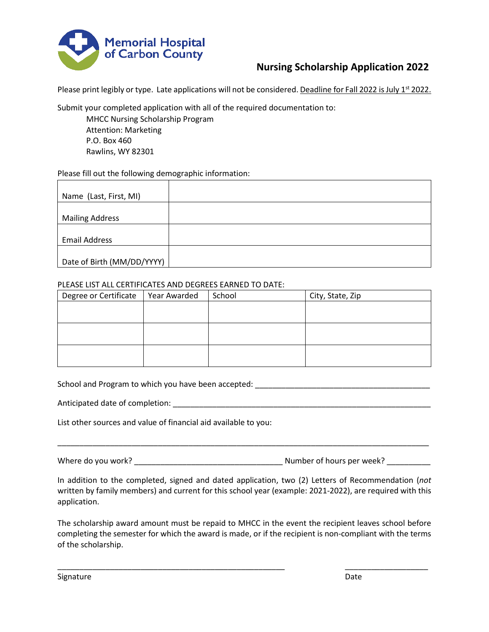

# **Nursing Scholarship Application 2022**

Please print legibly or type. Late applications will not be considered. Deadline for Fall 2022 is July 1<sup>st</sup> 2022.

Submit your completed application with all of the required documentation to:

MHCC Nursing Scholarship Program Attention: Marketing P.O. Box 460 Rawlins, WY 82301

### Please fill out the following demographic information:

| Name (Last, First, MI)     |  |
|----------------------------|--|
|                            |  |
| <b>Mailing Address</b>     |  |
|                            |  |
| <b>Email Address</b>       |  |
|                            |  |
| Date of Birth (MM/DD/YYYY) |  |

#### PLEASE LIST ALL CERTIFICATES AND DEGREES EARNED TO DATE:

| Degree or Certificate | Year Awarded | School | City, State, Zip |
|-----------------------|--------------|--------|------------------|
|                       |              |        |                  |
|                       |              |        |                  |
|                       |              |        |                  |
|                       |              |        |                  |
|                       |              |        |                  |
|                       |              |        |                  |

School and Program to which you have been accepted: \_\_\_\_\_\_\_\_\_\_\_\_\_\_\_\_\_\_\_\_\_\_\_\_\_\_\_\_\_

Anticipated date of completion:  $\blacksquare$ 

List other sources and value of financial aid available to you:

Where do you work? \_\_\_\_\_\_\_\_\_\_\_\_\_\_\_\_\_\_\_\_\_\_\_\_\_\_\_\_\_\_\_\_\_\_ Number of hours per week? \_\_\_\_\_\_\_\_\_\_

\_\_\_\_\_\_\_\_\_\_\_\_\_\_\_\_\_\_\_\_\_\_\_\_\_\_\_\_\_\_\_\_\_\_\_\_\_\_\_\_\_\_\_\_\_\_\_\_\_\_\_\_\_\_\_\_\_\_\_\_\_\_\_\_\_\_\_\_\_\_\_\_\_\_\_\_\_\_\_\_\_\_\_\_\_

In addition to the completed, signed and dated application, two (2) Letters of Recommendation (*not* written by family members) and current for this school year (example: 2021-2022), are required with this application.

The scholarship award amount must be repaid to MHCC in the event the recipient leaves school before completing the semester for which the award is made, or if the recipient is non-compliant with the terms of the scholarship.

\_\_\_\_\_\_\_\_\_\_\_\_\_\_\_\_\_\_\_\_\_\_\_\_\_\_\_\_\_\_\_\_\_\_\_\_\_\_\_\_\_\_\_\_\_\_\_\_\_\_\_\_ \_\_\_\_\_\_\_\_\_\_\_\_\_\_\_\_\_\_\_

Signature **Date**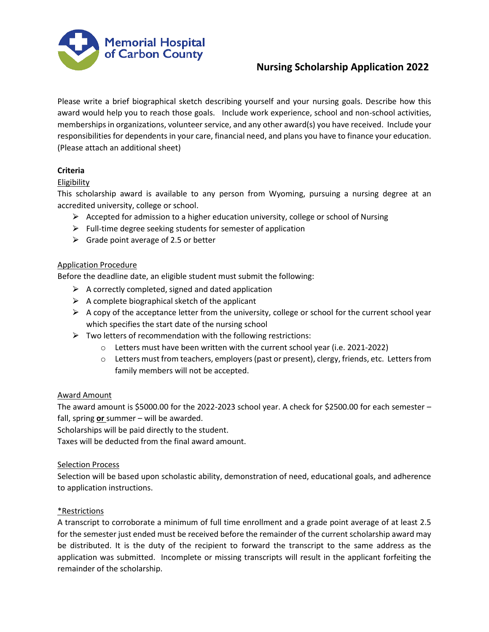

## **Nursing Scholarship Application 2022**

Please write a brief biographical sketch describing yourself and your nursing goals. Describe how this award would help you to reach those goals. Include work experience, school and non-school activities, memberships in organizations, volunteer service, and any other award(s) you have received. Include your responsibilities for dependents in your care, financial need, and plans you have to finance your education. (Please attach an additional sheet)

## **Criteria**

### Eligibility

This scholarship award is available to any person from Wyoming, pursuing a nursing degree at an accredited university, college or school.

- $\triangleright$  Accepted for admission to a higher education university, college or school of Nursing
- $\triangleright$  Full-time degree seeking students for semester of application
- $\triangleright$  Grade point average of 2.5 or better

#### Application Procedure

Before the deadline date, an eligible student must submit the following:

- $\triangleright$  A correctly completed, signed and dated application
- $\triangleright$  A complete biographical sketch of the applicant
- $\triangleright$  A copy of the acceptance letter from the university, college or school for the current school year which specifies the start date of the nursing school
- $\triangleright$  Two letters of recommendation with the following restrictions:
	- $\circ$  Letters must have been written with the current school year (i.e. 2021-2022)
	- $\circ$  Letters must from teachers, employers (past or present), clergy, friends, etc. Letters from family members will not be accepted.

#### Award Amount

The award amount is \$5000.00 for the 2022-2023 school year. A check for \$2500.00 for each semester  $$ fall, spring **or** summer – will be awarded.

Scholarships will be paid directly to the student.

Taxes will be deducted from the final award amount.

#### Selection Process

Selection will be based upon scholastic ability, demonstration of need, educational goals, and adherence to application instructions.

#### \*Restrictions

A transcript to corroborate a minimum of full time enrollment and a grade point average of at least 2.5 for the semester just ended must be received before the remainder of the current scholarship award may be distributed. It is the duty of the recipient to forward the transcript to the same address as the application was submitted. Incomplete or missing transcripts will result in the applicant forfeiting the remainder of the scholarship.